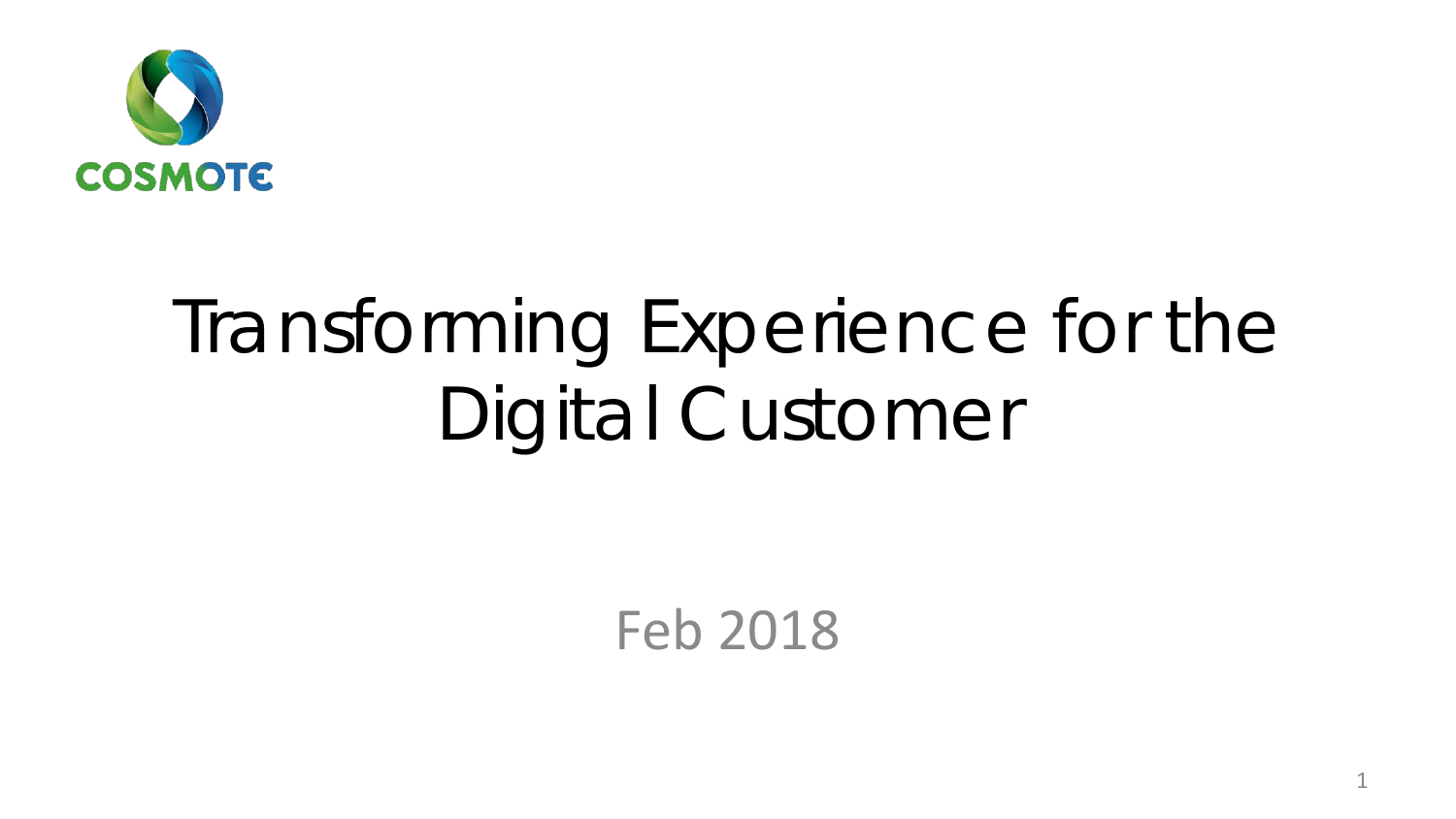

# Transforming Experience for the Digital Customer

Feb 2018

1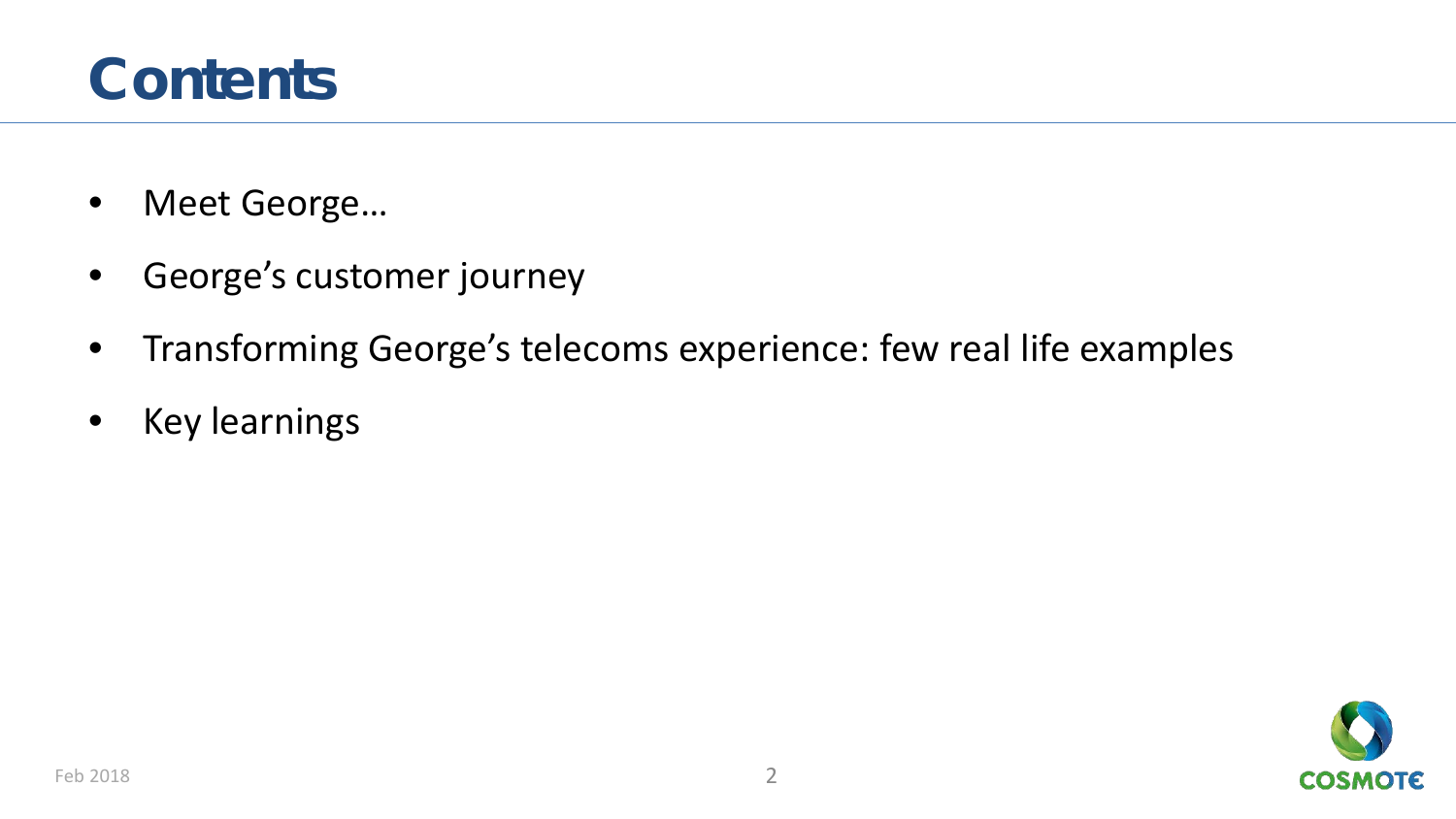### **Contents**

- Meet George…
- George's customer journey
- Transforming George's telecoms experience: few real life examples
- Key learnings

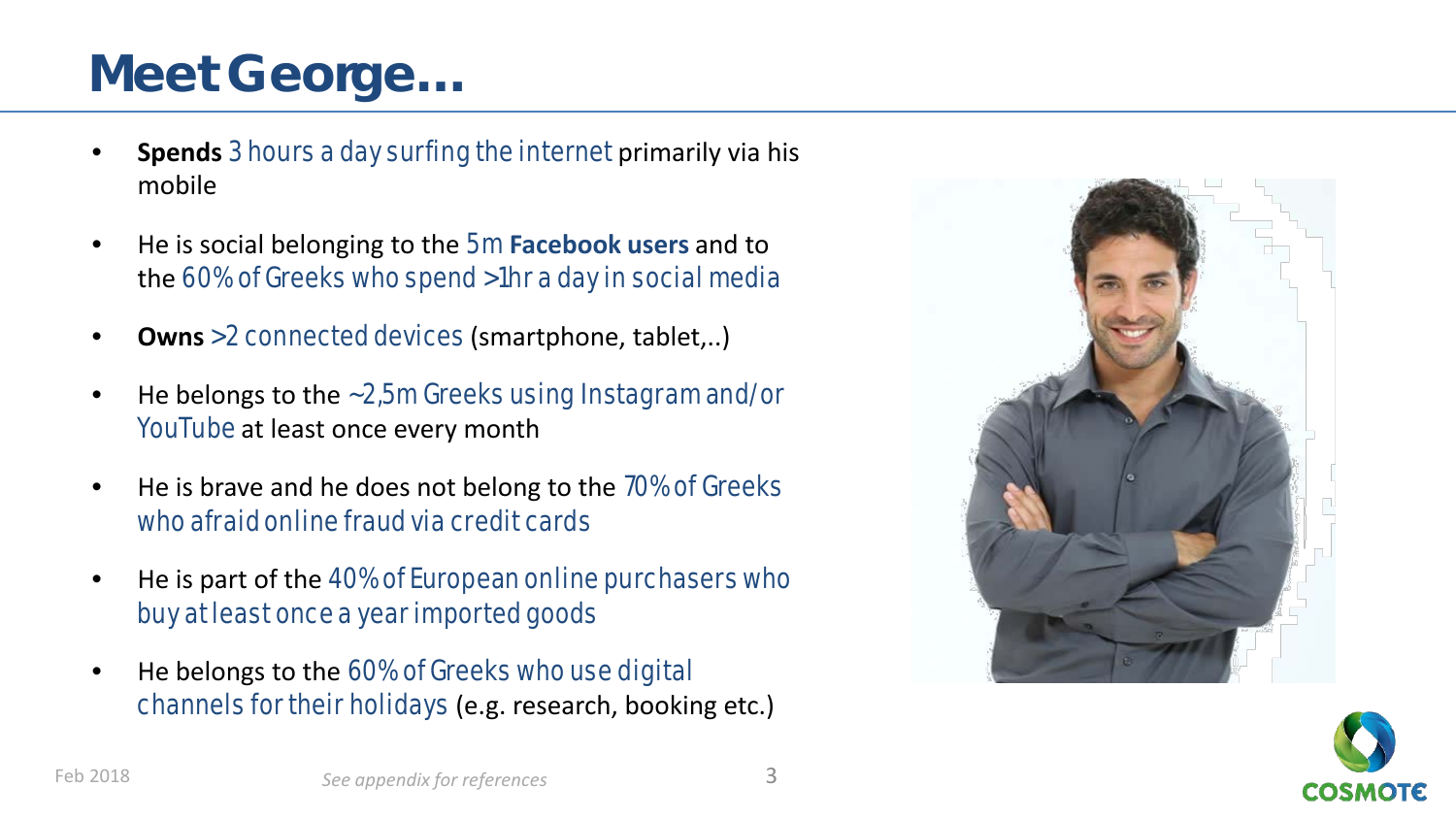### **Meet George…**

- **Spends** 3 hours a day surfing the internet primarily via his mobile
- He is social belonging to the 5m **Facebook users** and to the 60% of Greeks who spend >1hr a day in social media
- **Owns** >2 connected devices (smartphone, tablet,..)
- He belongs to the ~2,5m Greeks using Instagram and/or YouTube at least once every month
- He is brave and he does not belong to the 70% of Greeks who afraid online fraud via credit cards
- He is part of the 40% of European online purchasers who buy at least once a year imported goods
- He belongs to the 60% of Greeks who use digital channels for their holidays (e.g. research, booking etc.)



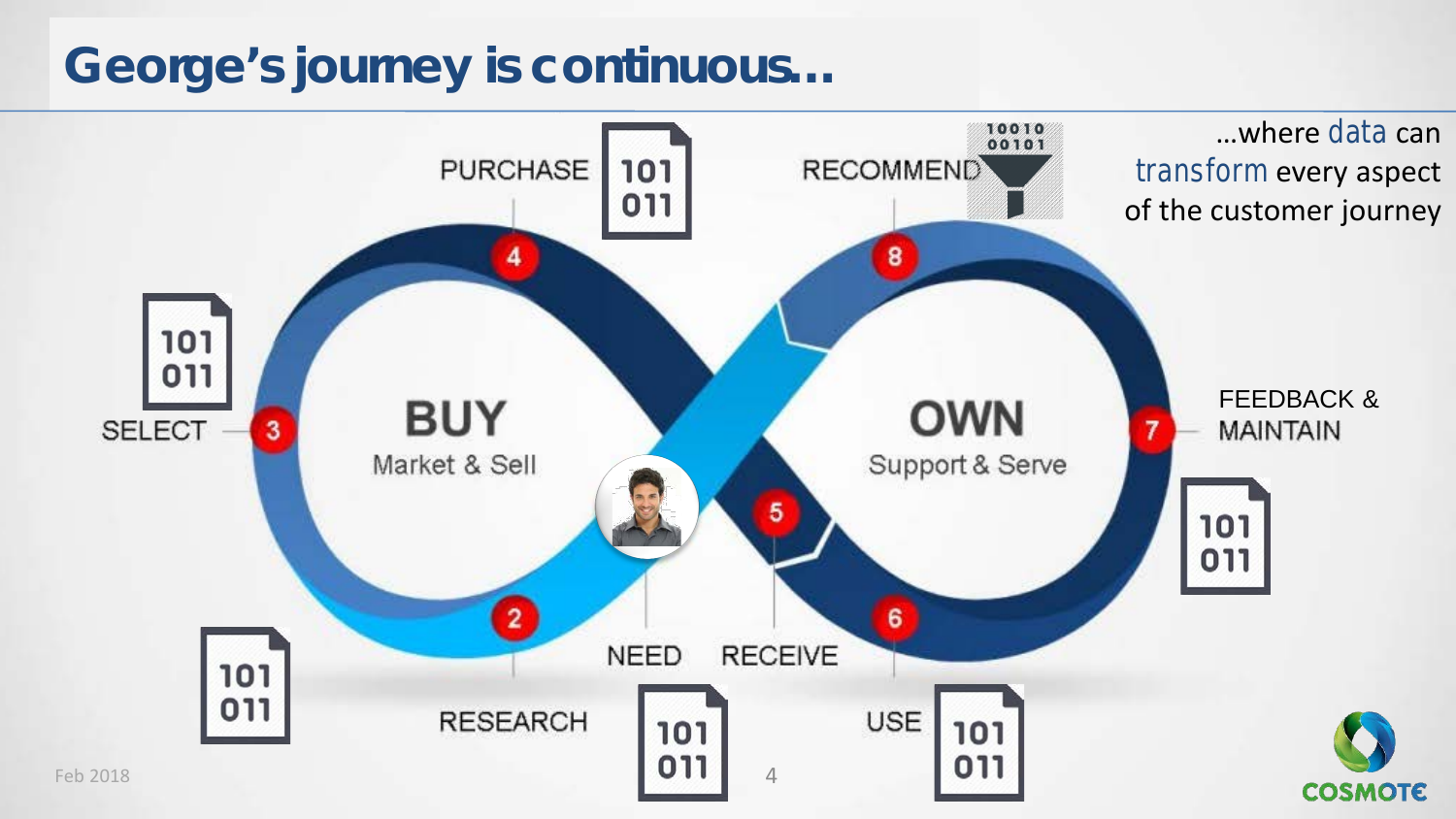### **George's journey is continuous…**

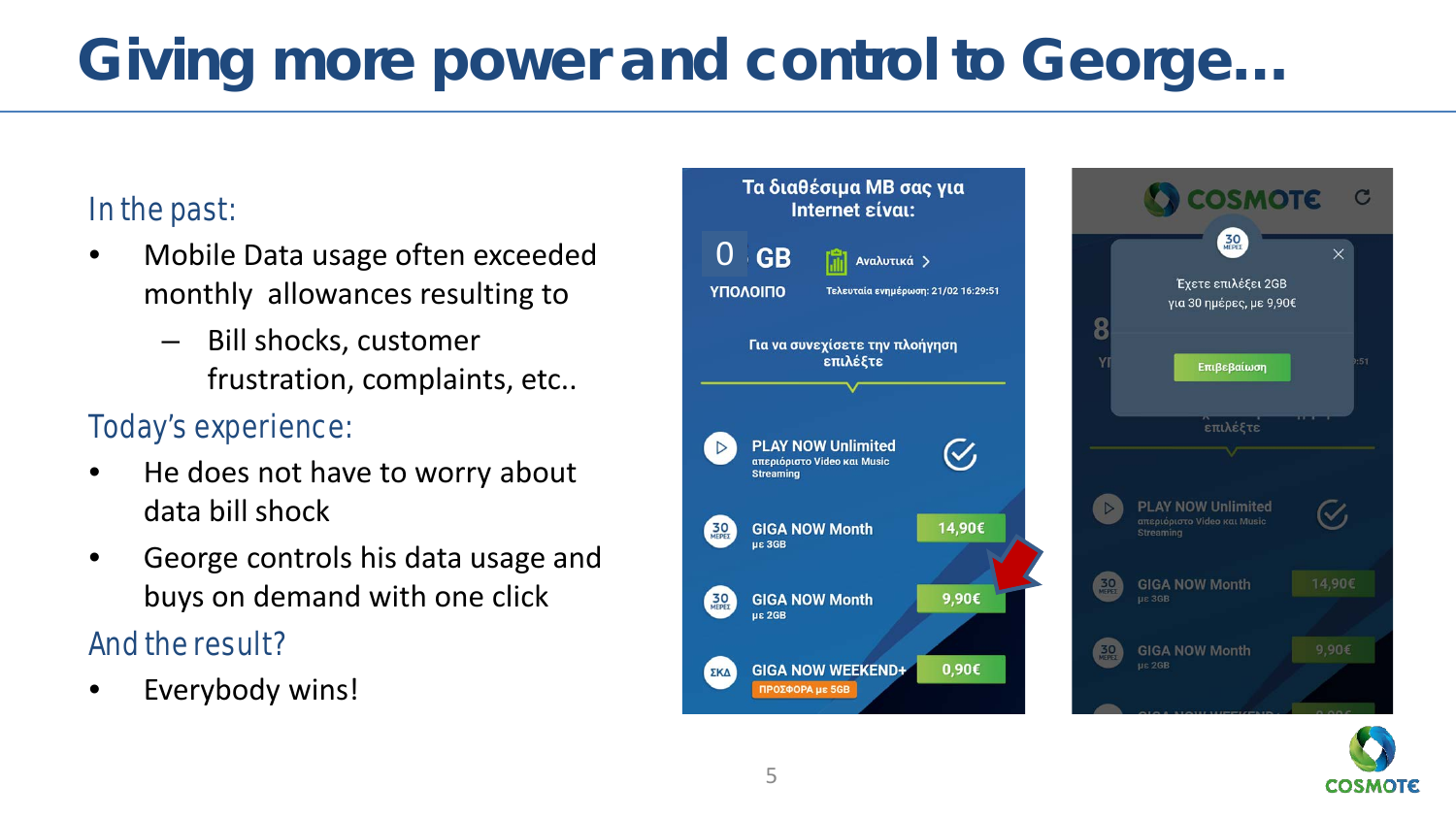## **Giving more power and control to George…**

### In the past:

- Mobile Data usage often exceeded monthly allowances resulting to
	- Bill shocks, customer frustration, complaints, etc..

### Today's experience:

- He does not have to worry about data bill shock
- George controls his data usage and buys on demand with one click

### And the result?

Everybody wins!



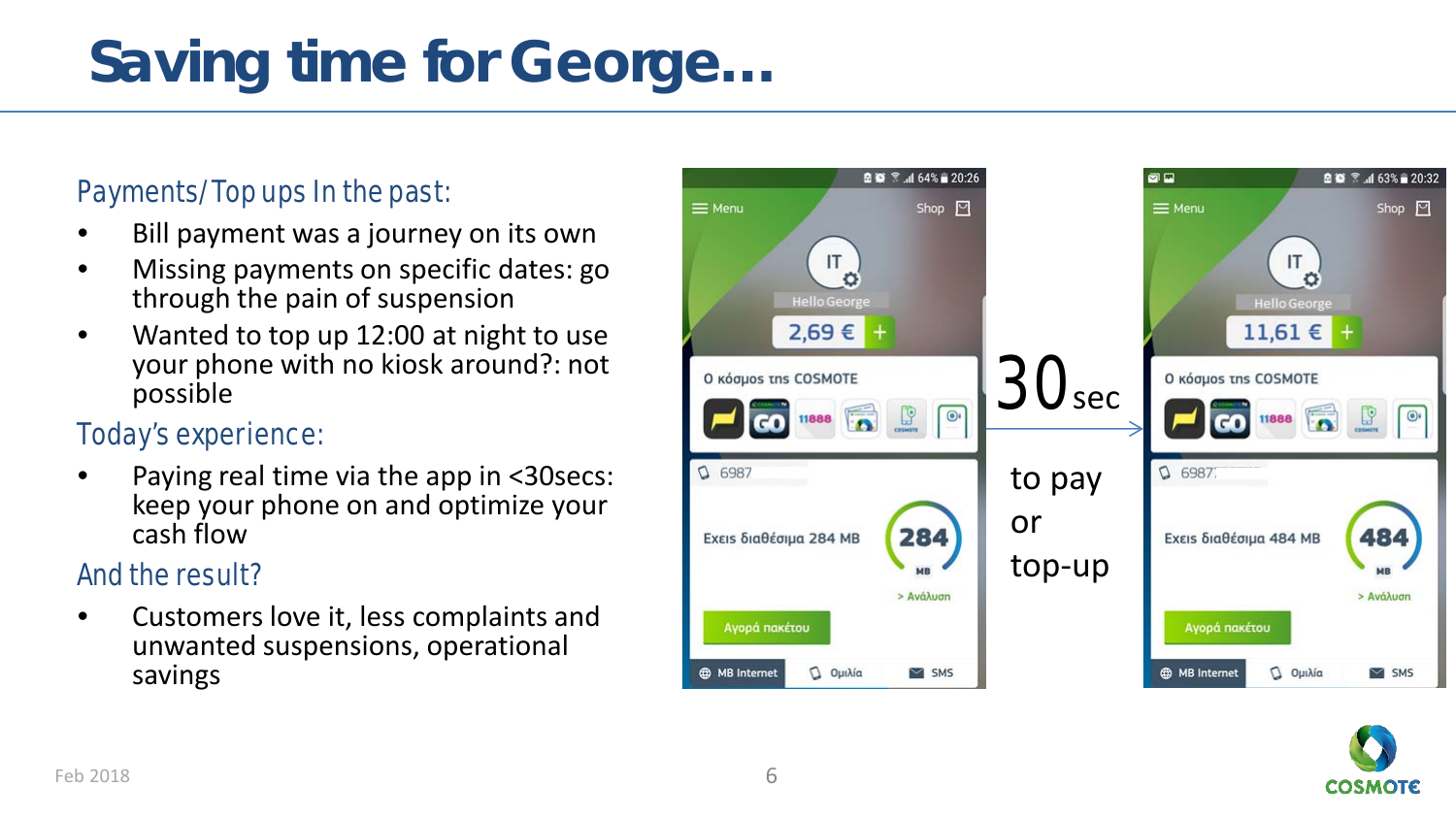## **Saving time for George…**

#### Payments/Top ups In the past:

- Bill payment was a journey on its own
- Missing payments on specific dates: go through the pain of suspension
- Wanted to top up 12:00 at night to use your phone with no kiosk around?: not possible

#### Today's experience:

• Paying real time via the app in <30secs: keep your phone on and optimize your cash flow

### And the result?

• Customers love it, less complaints and unwanted suspensions, operational savings



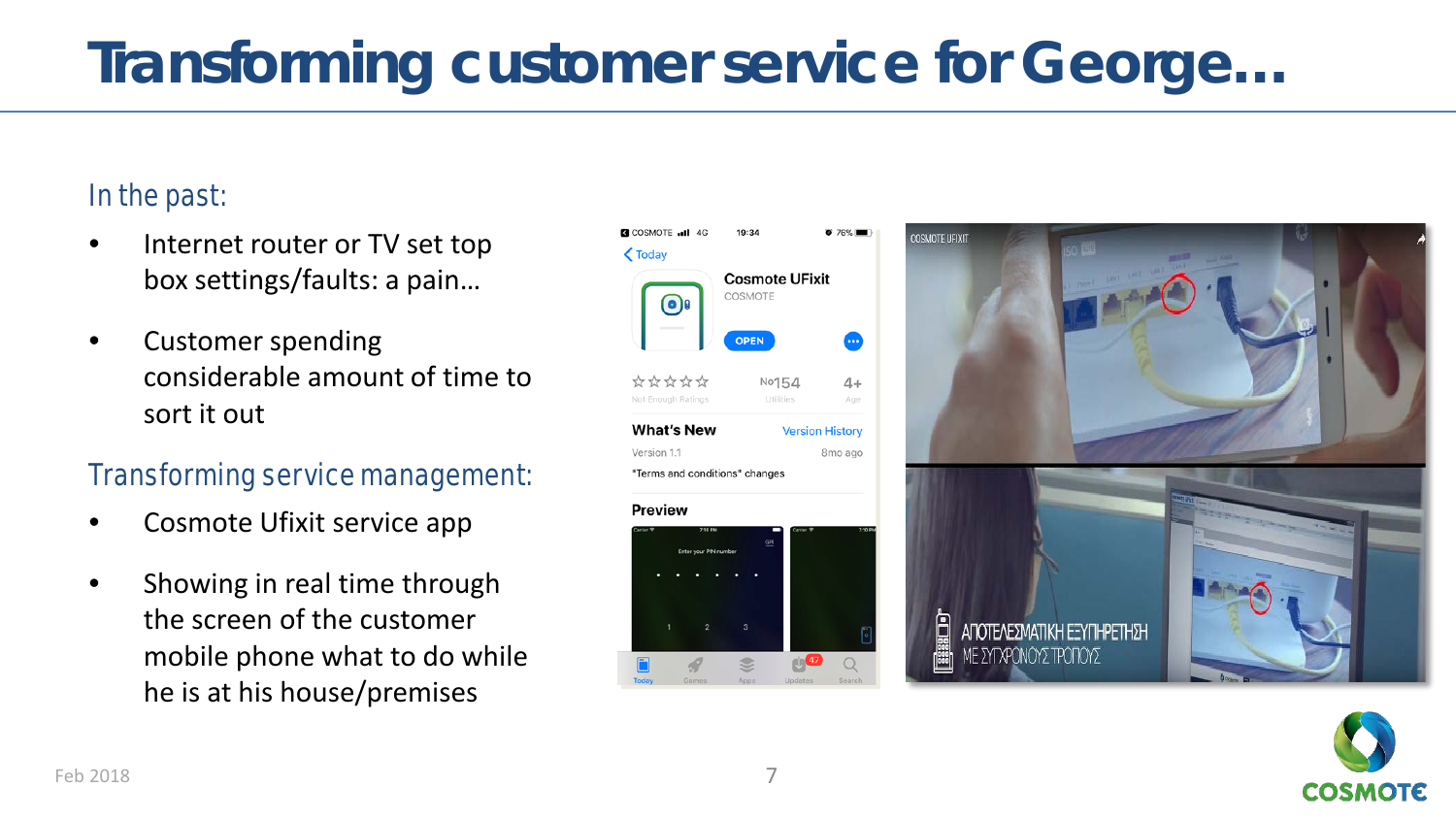## **Transforming customer service for George…**

### In the past:

- Internet router or TV set top box settings/faults: a pain…
- Customer spending considerable amount of time to sort it out

#### Transforming service management:

- Cosmote Ufixit service app
- Showing in real time through the screen of the customer mobile phone what to do while he is at his house/premises





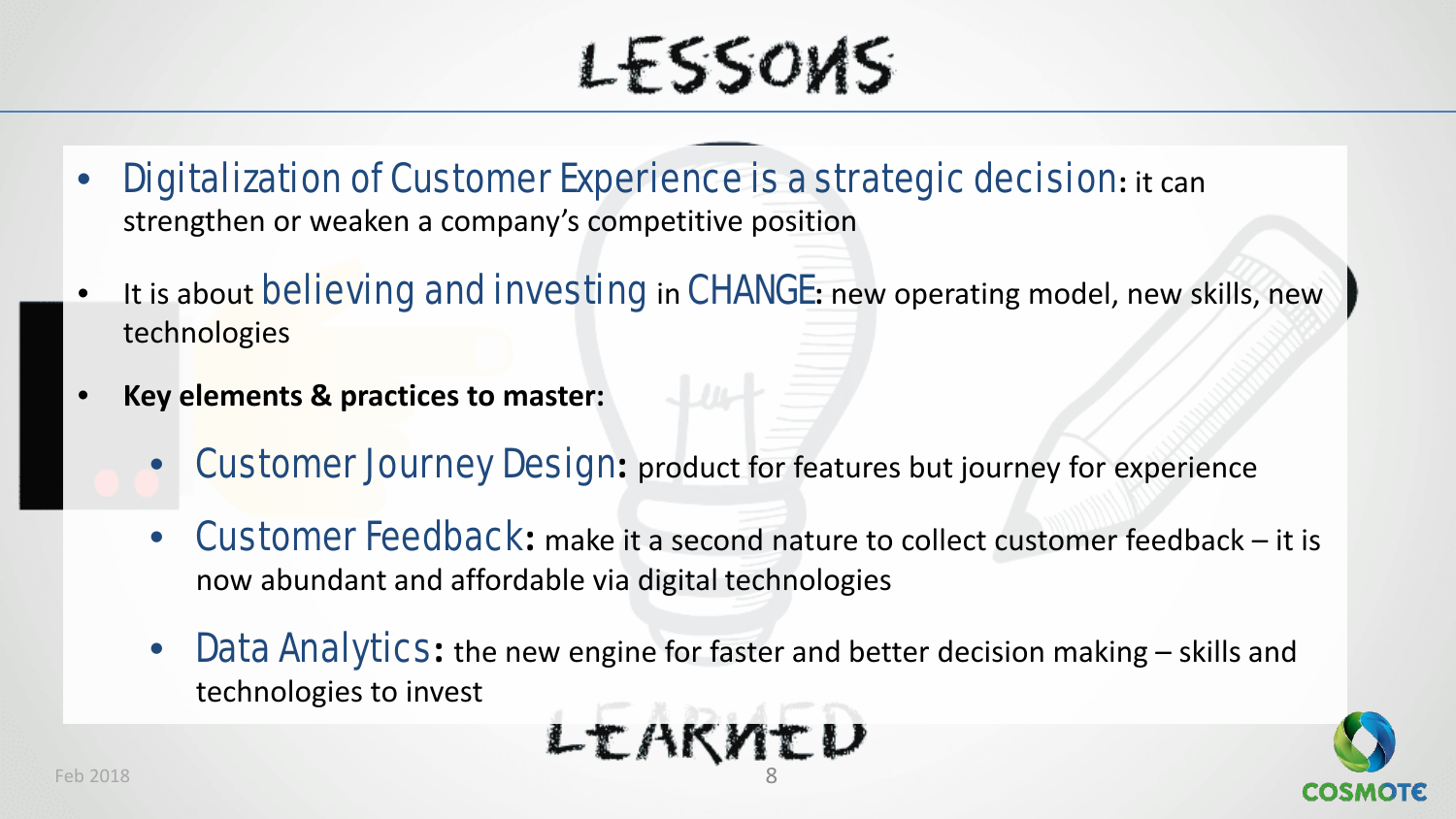# LFSSOVS

- Digitalization of Customer Experience is a strategic decision**:** it can strengthen or weaken a company's competitive position
- It is about believing and investing in CHANGE**:** new operating model, new skills, new technologies
- **Key elements & practices to master:** 
	- **Customer Journey Design:** product for features but journey for experience
	- Customer Feedback**:** make it a second nature to collect customer feedback it is now abundant and affordable via digital technologies
	- **Data Analytics:** the new engine for faster and better decision making skills and technologies to invest

$$
\mathbf{L} \mathbf{L} \mathbf{A} \mathbf{K} \mathbf{M} \mathbf{L} \mathbf{U}
$$